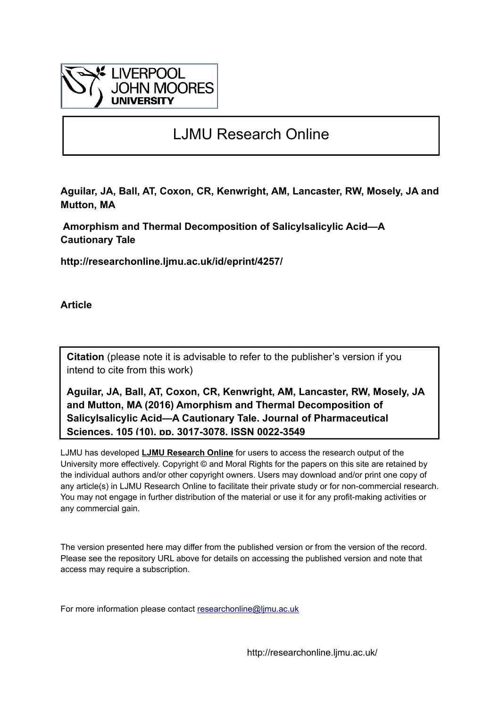

## LJMU Research Online

**Aguilar, JA, Ball, AT, Coxon, CR, Kenwright, AM, Lancaster, RW, Mosely, JA and Mutton, MA**

 **Amorphism and Thermal Decomposition of Salicylsalicylic Acid—A Cautionary Tale**

**http://researchonline.ljmu.ac.uk/id/eprint/4257/**

**Article**

**Citation** (please note it is advisable to refer to the publisher's version if you intend to cite from this work)

**Aguilar, JA, Ball, AT, Coxon, CR, Kenwright, AM, Lancaster, RW, Mosely, JA and Mutton, MA (2016) Amorphism and Thermal Decomposition of Salicylsalicylic Acid—A Cautionary Tale. Journal of Pharmaceutical Sciences, 105 (10). pp. 3017-3078. ISSN 0022-3549** 

LJMU has developed **[LJMU Research Online](http://researchonline.ljmu.ac.uk/)** for users to access the research output of the University more effectively. Copyright © and Moral Rights for the papers on this site are retained by the individual authors and/or other copyright owners. Users may download and/or print one copy of any article(s) in LJMU Research Online to facilitate their private study or for non-commercial research. You may not engage in further distribution of the material or use it for any profit-making activities or any commercial gain.

The version presented here may differ from the published version or from the version of the record. Please see the repository URL above for details on accessing the published version and note that access may require a subscription.

For more information please contact researchonline@limu.ac.uk

http://researchonline.ljmu.ac.uk/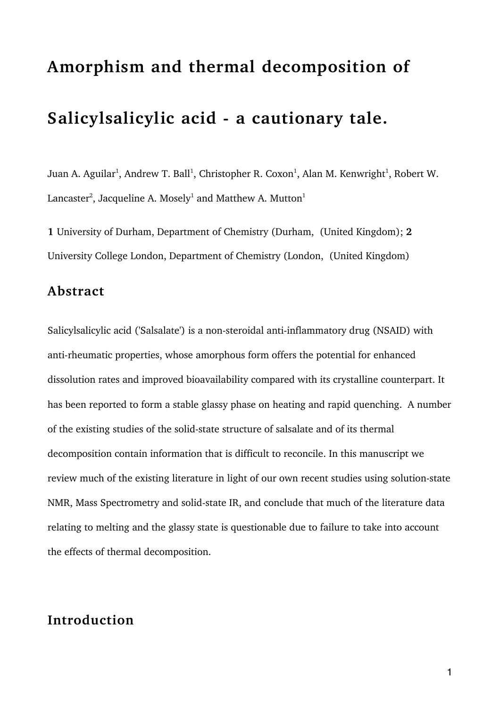# **Amorphism and thermal decomposition of**

# **Salicylsalicylic acid - a cautionary tale.**

Juan A. Aguilar $^1$ , Andrew T. Ball $^1$ , Christopher R. Coxon $^1$ , Alan M. Kenwright $^1$ , Robert W. Lancaster $^2$ , Jacqueline A. Mosely $^1$  and Matthew A. Mutton $^1$ 

**1** University of Durham, Department of Chemistry (Durham, (United Kingdom); **2** University College London, Department of Chemistry (London, (United Kingdom)

#### **Abstract**

Salicylsalicylic acid ('Salsalate') is a non-steroidal anti-inflammatory drug (NSAID) with anti-rheumatic properties, whose amorphous form offers the potential for enhanced dissolution rates and improved bioavailability compared with its crystalline counterpart. It has been reported to form a stable glassy phase on heating and rapid quenching. A number of the existing studies of the solid-state structure of salsalate and of its thermal decomposition contain information that is difficult to reconcile. In this manuscript we review much of the existing literature in light of our own recent studies using solution-state NMR, Mass Spectrometry and solid-state IR, and conclude that much of the literature data relating to melting and the glassy state is questionable due to failure to take into account the effects of thermal decomposition.

### **Introduction**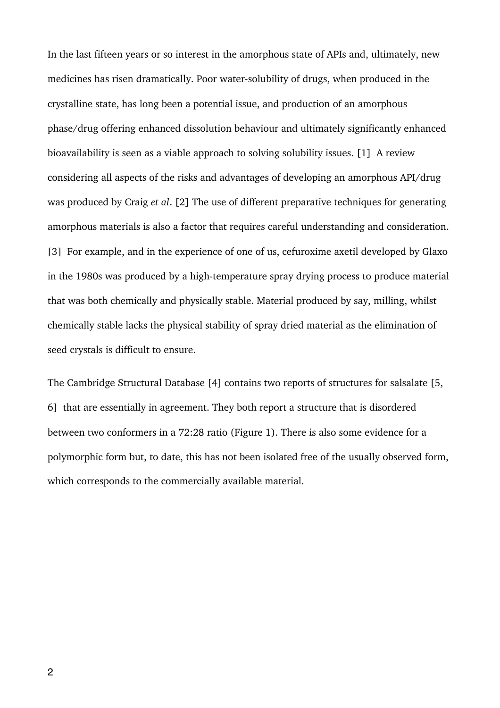In the last fifteen years or so interest in the amorphous state of APIs and, ultimately, new medicines has risen dramatically. Poor water-solubility of drugs, when produced in the crystalline state, has long been a potential issue, and production of an amorphous phase/drug offering enhanced dissolution behaviour and ultimately significantly enhanced bioavailability is seen as a viable approach to solving solubility issues. [1] A review considering all aspects of the risks and advantages of developing an amorphous API/drug was produced by Craig *et al*. [2] The use of different preparative techniques for generating amorphous materials is also a factor that requires careful understanding and consideration. [3] For example, and in the experience of one of us, cefuroxime axetil developed by Glaxo in the 1980s was produced by a high-temperature spray drying process to produce material that was both chemically and physically stable. Material produced by say, milling, whilst chemically stable lacks the physical stability of spray dried material as the elimination of seed crystals is difficult to ensure.

The Cambridge Structural Database [4] contains two reports of structures for salsalate [5, 6] that are essentially in agreement. They both report a structure that is disordered between two conformers in a 72:28 ratio (Figure 1). There is also some evidence for a polymorphic form but, to date, this has not been isolated free of the usually observed form, which corresponds to the commercially available material.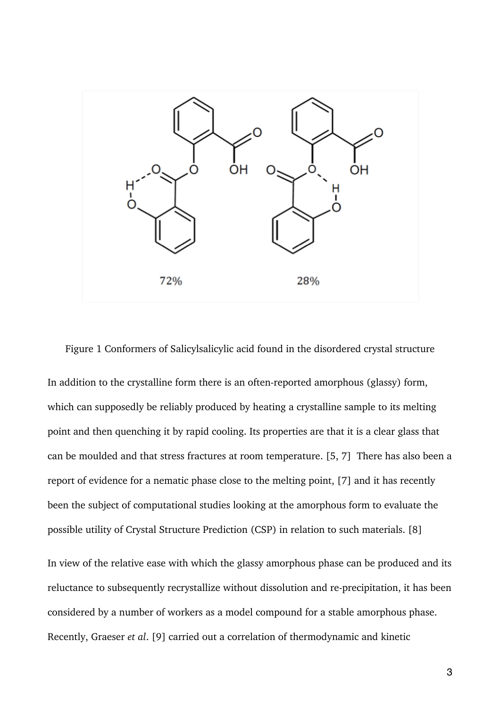

Figure 1 Conformers of Salicylsalicylic acid found in the disordered crystal structure

In addition to the crystalline form there is an often-reported amorphous (glassy) form, which can supposedly be reliably produced by heating a crystalline sample to its melting point and then quenching it by rapid cooling. Its properties are that it is a clear glass that can be moulded and that stress fractures at room temperature. [5, 7] There has also been a report of evidence for a nematic phase close to the melting point, [7] and it has recently been the subject of computational studies looking at the amorphous form to evaluate the possible utility of Crystal Structure Prediction (CSP) in relation to such materials. [8]

In view of the relative ease with which the glassy amorphous phase can be produced and its reluctance to subsequently recrystallize without dissolution and re-precipitation, it has been considered by a number of workers as a model compound for a stable amorphous phase. Recently, Graeser *et al*. [9] carried out a correlation of thermodynamic and kinetic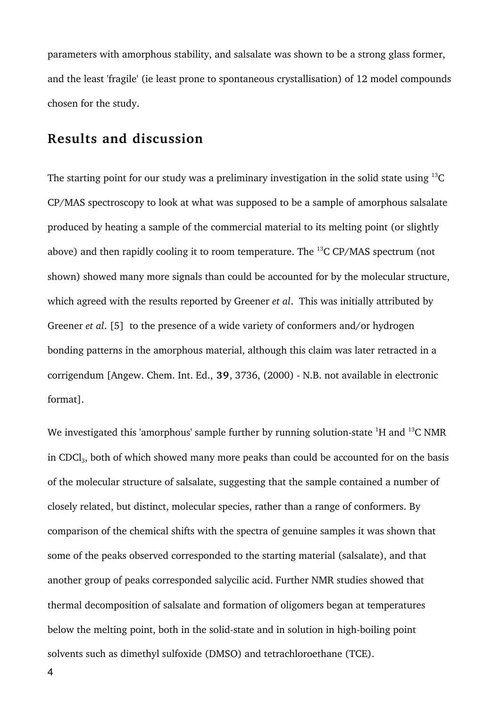parameters with amorphous stability, and salsalate was shown to be a strong glass former, and the least 'fragile' (ie least prone to spontaneous crystallisation) of 12 model compounds chosen for the study.

#### **Results and discussion**

The starting point for our study was a preliminary investigation in the solid state using  $^{13}$ C CP/MAS spectroscopy to look at what was supposed to be a sample of amorphous salsalate produced by heating a sample of the commercial material to its melting point (or slightly above) and then rapidly cooling it to room temperature. The  $^{13}$ C CP/MAS spectrum (not shown) showed many more signals than could be accounted for by the molecular structure, which agreed with the results reported by Greener *et al*. This was initially attributed by Greener *et al*. [5] to the presence of a wide variety of conformers and/or hydrogen bonding patterns in the amorphous material, although this claim was later retracted in a corrigendum [Angew. Chem. Int. Ed., **39**, 3736, (2000) - N.B. not available in electronic format].

We investigated this 'amorphous' sample further by running solution-state  $^1$ H and  $^{13}$ C NMR in CDCl<sub>3</sub>, both of which showed many more peaks than could be accounted for on the basis of the molecular structure of salsalate, suggesting that the sample contained a number of closely related, but distinct, molecular species, rather than a range of conformers. By comparison of the chemical shifts with the spectra of genuine samples it was shown that some of the peaks observed corresponded to the starting material (salsalate), and that another group of peaks corresponded salycilic acid. Further NMR studies showed that thermal decomposition of salsalate and formation of oligomers began at temperatures below the melting point, both in the solid-state and in solution in high-boiling point solvents such as dimethyl sulfoxide (DMSO) and tetrachloroethane (TCE).

4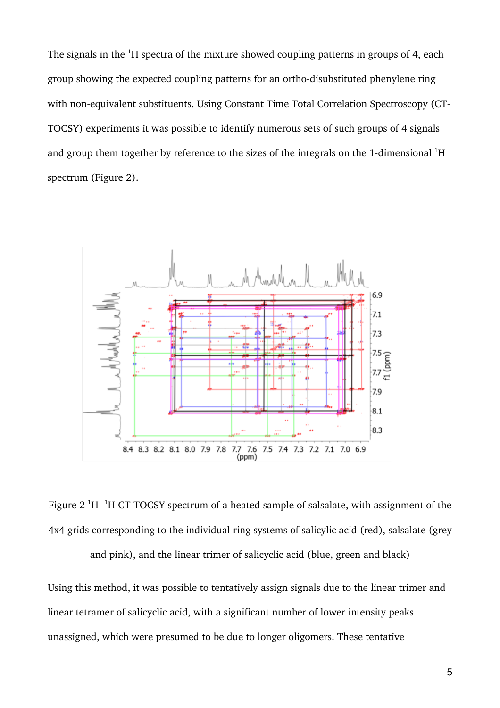The signals in the  $^1$ H spectra of the mixture showed coupling patterns in groups of 4, each group showing the expected coupling patterns for an ortho-disubstituted phenylene ring with non-equivalent substituents. Using Constant Time Total Correlation Spectroscopy (CT-TOCSY) experiments it was possible to identify numerous sets of such groups of 4 signals and group them together by reference to the sizes of the integrals on the 1-dimensional  ${}^{1}H$ spectrum (Figure 2).



Figure 2  $^{1}$ H-  $^{1}$ H CT-TOCSY spectrum of a heated sample of salsalate, with assignment of the 4x4 grids corresponding to the individual ring systems of salicylic acid (red), salsalate (grey and pink), and the linear trimer of salicyclic acid (blue, green and black)

Using this method, it was possible to tentatively assign signals due to the linear trimer and linear tetramer of salicyclic acid, with a significant number of lower intensity peaks unassigned, which were presumed to be due to longer oligomers. These tentative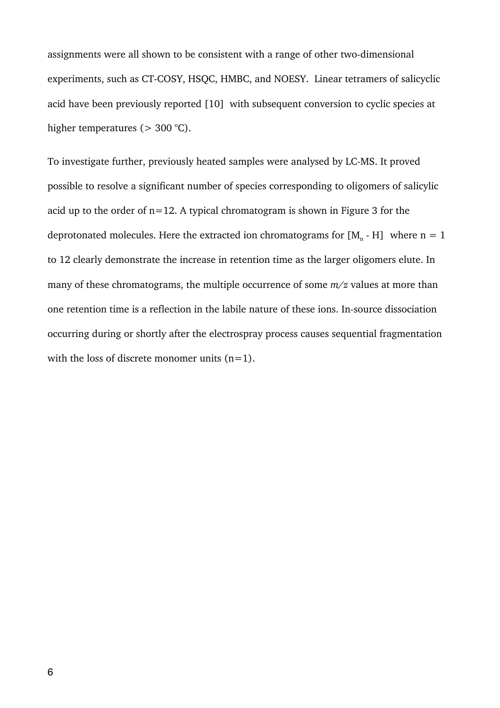assignments were all shown to be consistent with a range of other two-dimensional experiments, such as CT-COSY, HSQC, HMBC, and NOESY. Linear tetramers of salicyclic acid have been previously reported [10] with subsequent conversion to cyclic species at higher temperatures ( $>$  300 °C).

To investigate further, previously heated samples were analysed by LC-MS. It proved possible to resolve a significant number of species corresponding to oligomers of salicylic acid up to the order of  $n=12$ . A typical chromatogram is shown in Figure 3 for the deprotonated molecules. Here the extracted ion chromatograms for  $[M_n - H]$  where  $n = 1$ to 12 clearly demonstrate the increase in retention time as the larger oligomers elute. In many of these chromatograms, the multiple occurrence of some *m/z* values at more than one retention time is a reflection in the labile nature of these ions. In-source dissociation occurring during or shortly after the electrospray process causes sequential fragmentation with the loss of discrete monomer units  $(n=1)$ .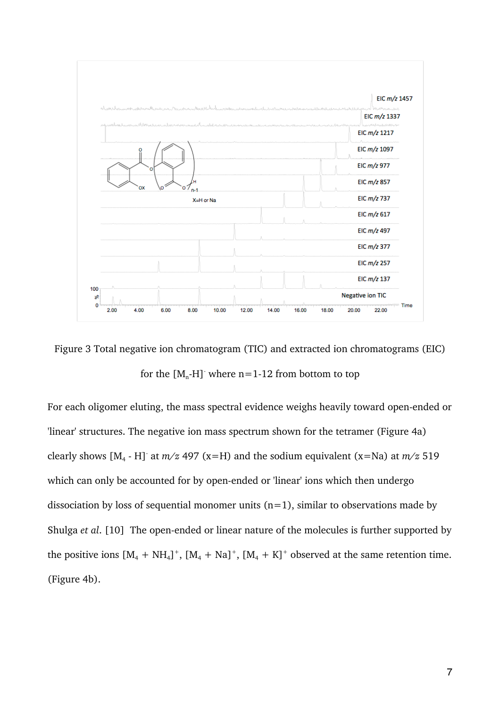

Figure 3 Total negative ion chromatogram (TIC) and extracted ion chromatograms (EIC) for the  $[M_n-H]$ -where n=1-12 from bottom to top

For each oligomer eluting, the mass spectral evidence weighs heavily toward open-ended or 'linear' structures. The negative ion mass spectrum shown for the tetramer (Figure 4a) clearly shows  $[M_4 - H]$ <sup>-</sup> at  $m/z$  497 (x=H) and the sodium equivalent (x=Na) at  $m/z$  519 which can only be accounted for by open-ended or 'linear' ions which then undergo dissociation by loss of sequential monomer units  $(n=1)$ , similar to observations made by Shulga *et al*. [10] The open-ended or linear nature of the molecules is further supported by the positive ions  $[M_4 + NH_4]^+$ ,  $[M_4 + Na]^+$ ,  $[M_4 + K]^+$  observed at the same retention time. (Figure 4b).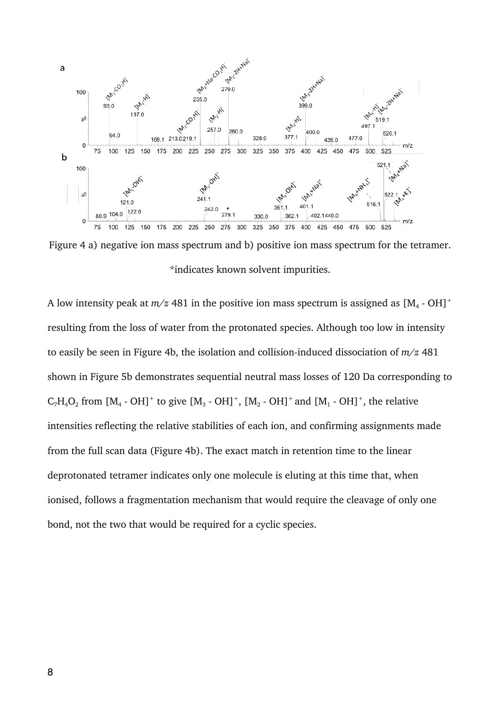

Figure 4 a) negative ion mass spectrum and b) positive ion mass spectrum for the tetramer. \*indicates known solvent impurities.

A low intensity peak at  $m/z$  481 in the positive ion mass spectrum is assigned as  $[M_4 - OH]^+$ resulting from the loss of water from the protonated species. Although too low in intensity to easily be seen in Figure 4b, the isolation and collision-induced dissociation of *m/z* 481 shown in Figure 5b demonstrates sequential neutral mass losses of 120 Da corresponding to  $C_7H_4O_2$  from  $[M_4 \cdot OH]^+$  to give  $[M_3 \cdot OH]^+$ ,  $[M_2 \cdot OH]^+$  and  $[M_1 \cdot OH]^+$ , the relative intensities reflecting the relative stabilities of each ion, and confirming assignments made from the full scan data (Figure 4b). The exact match in retention time to the linear deprotonated tetramer indicates only one molecule is eluting at this time that, when ionised, follows a fragmentation mechanism that would require the cleavage of only one bond, not the two that would be required for a cyclic species.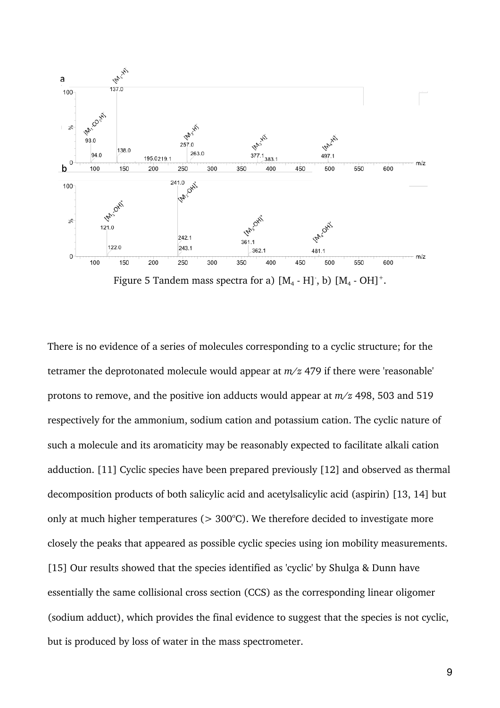

Figure 5 Tandem mass spectra for a)  $[M_4 - H]$  , b)  $[M_4 - OH]^+$ .

There is no evidence of a series of molecules corresponding to a cyclic structure; for the tetramer the deprotonated molecule would appear at *m/z* 479 if there were 'reasonable' protons to remove, and the positive ion adducts would appear at *m/z* 498, 503 and 519 respectively for the ammonium, sodium cation and potassium cation. The cyclic nature of such a molecule and its aromaticity may be reasonably expected to facilitate alkali cation adduction. [11] Cyclic species have been prepared previously [12] and observed as thermal decomposition products of both salicylic acid and acetylsalicylic acid (aspirin) [13, 14] but only at much higher temperatures ( $> 300^{\circ}$ C). We therefore decided to investigate more closely the peaks that appeared as possible cyclic species using ion mobility measurements. [15] Our results showed that the species identified as 'cyclic' by Shulga & Dunn have essentially the same collisional cross section (CCS) as the corresponding linear oligomer (sodium adduct), which provides the final evidence to suggest that the species is not cyclic, but is produced by loss of water in the mass spectrometer.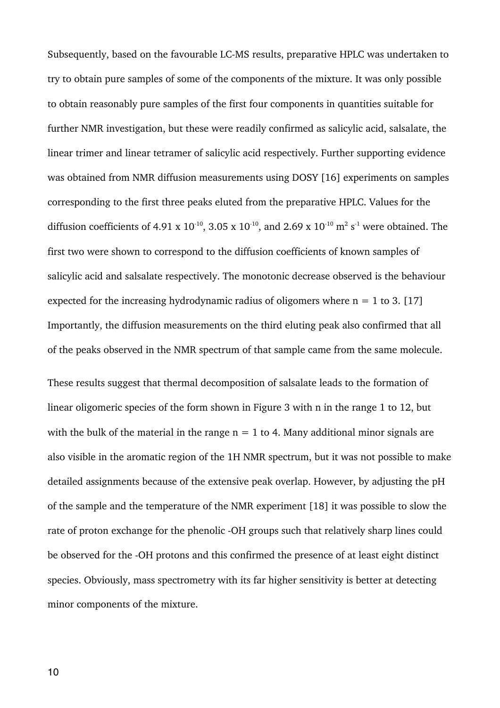Subsequently, based on the favourable LC-MS results, preparative HPLC was undertaken to try to obtain pure samples of some of the components of the mixture. It was only possible to obtain reasonably pure samples of the first four components in quantities suitable for further NMR investigation, but these were readily confirmed as salicylic acid, salsalate, the linear trimer and linear tetramer of salicylic acid respectively. Further supporting evidence was obtained from NMR diffusion measurements using DOSY [16] experiments on samples corresponding to the first three peaks eluted from the preparative HPLC. Values for the diffusion coefficients of 4.91 x  $10^{-10}$ , 3.05 x  $10^{-10}$ , and 2.69 x  $10^{-10}$  m<sup>2</sup> s<sup>-1</sup> were obtained. The first two were shown to correspond to the diffusion coefficients of known samples of salicylic acid and salsalate respectively. The monotonic decrease observed is the behaviour expected for the increasing hydrodynamic radius of oligomers where  $n = 1$  to 3. [17] Importantly, the diffusion measurements on the third eluting peak also confirmed that all of the peaks observed in the NMR spectrum of that sample came from the same molecule.

These results suggest that thermal decomposition of salsalate leads to the formation of linear oligomeric species of the form shown in Figure 3 with n in the range 1 to 12, but with the bulk of the material in the range  $n = 1$  to 4. Many additional minor signals are also visible in the aromatic region of the 1H NMR spectrum, but it was not possible to make detailed assignments because of the extensive peak overlap. However, by adjusting the pH of the sample and the temperature of the NMR experiment [18] it was possible to slow the rate of proton exchange for the phenolic -OH groups such that relatively sharp lines could be observed for the -OH protons and this confirmed the presence of at least eight distinct species. Obviously, mass spectrometry with its far higher sensitivity is better at detecting minor components of the mixture.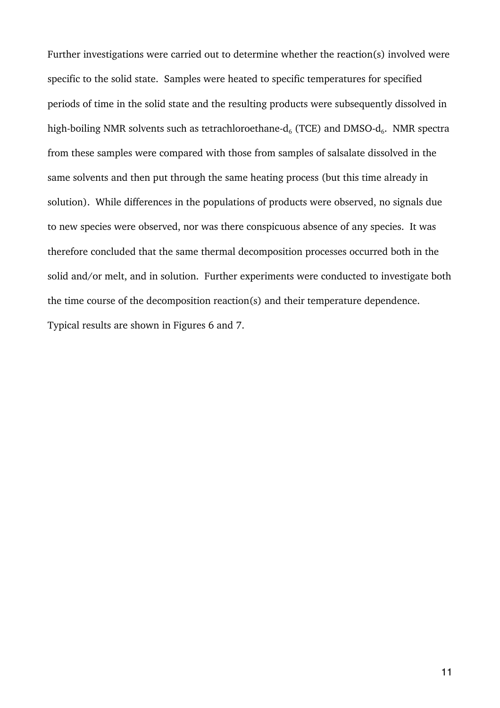Further investigations were carried out to determine whether the reaction(s) involved were specific to the solid state. Samples were heated to specific temperatures for specified periods of time in the solid state and the resulting products were subsequently dissolved in high-boiling NMR solvents such as tetrachloroethane- $d_6$  (TCE) and DMSO- $d_6$ . NMR spectra from these samples were compared with those from samples of salsalate dissolved in the same solvents and then put through the same heating process (but this time already in solution). While differences in the populations of products were observed, no signals due to new species were observed, nor was there conspicuous absence of any species. It was therefore concluded that the same thermal decomposition processes occurred both in the solid and/or melt, and in solution. Further experiments were conducted to investigate both the time course of the decomposition reaction(s) and their temperature dependence. Typical results are shown in Figures 6 and 7.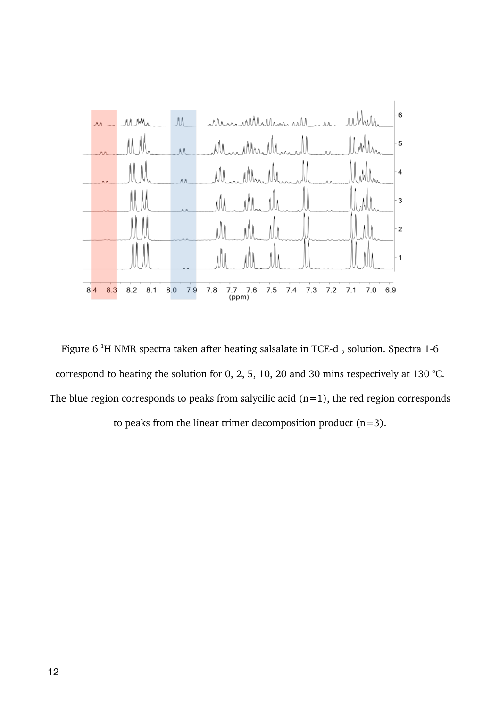

Figure 6  $^1\rm H$  NMR spectra taken after heating salsalate in TCE-d  $_2$  solution. Spectra 1-6 correspond to heating the solution for 0, 2, 5, 10, 20 and 30 mins respectively at 130 °C. The blue region corresponds to peaks from salycilic acid  $(n=1)$ , the red region corresponds to peaks from the linear trimer decomposition product  $(n=3)$ .

12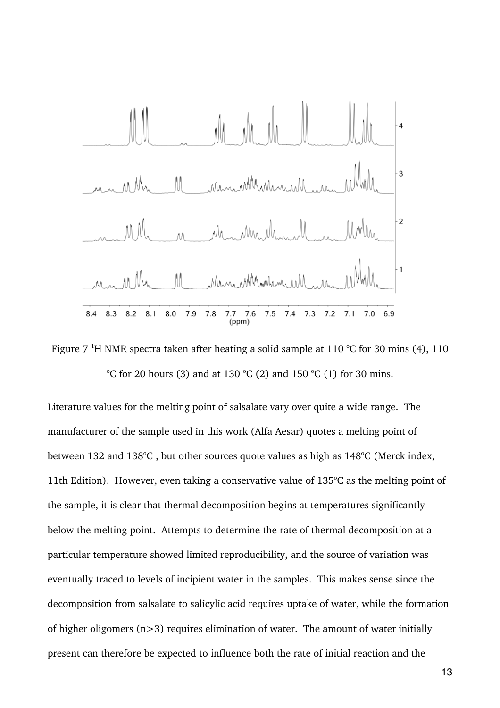

Figure 7 <sup>1</sup>H NMR spectra taken after heating a solid sample at 110 °C for 30 mins (4), 110 °C for 20 hours (3) and at 130 °C (2) and 150 °C (1) for 30 mins.

Literature values for the melting point of salsalate vary over quite a wide range. The manufacturer of the sample used in this work (Alfa Aesar) quotes a melting point of between 132 and 138°C, but other sources quote values as high as  $148$ °C (Merck index, 11th Edition). However, even taking a conservative value of  $135^{\circ}$ C as the melting point of the sample, it is clear that thermal decomposition begins at temperatures significantly below the melting point. Attempts to determine the rate of thermal decomposition at a particular temperature showed limited reproducibility, and the source of variation was eventually traced to levels of incipient water in the samples. This makes sense since the decomposition from salsalate to salicylic acid requires uptake of water, while the formation of higher oligomers  $(n>3)$  requires elimination of water. The amount of water initially present can therefore be expected to influence both the rate of initial reaction and the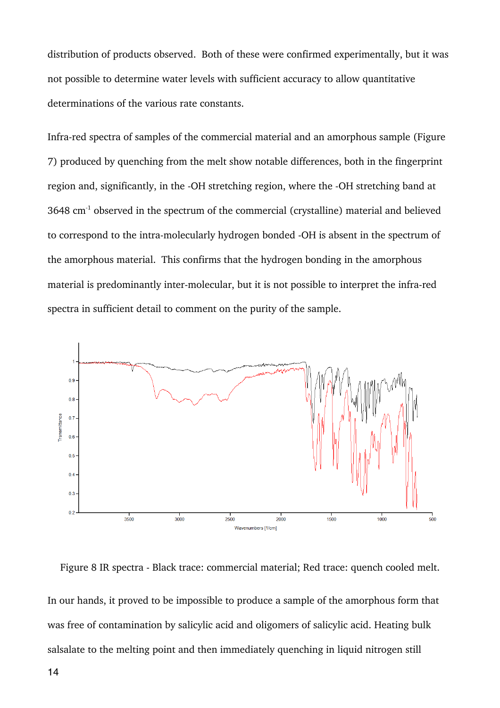distribution of products observed. Both of these were confirmed experimentally, but it was not possible to determine water levels with sufficient accuracy to allow quantitative determinations of the various rate constants.

Infra-red spectra of samples of the commercial material and an amorphous sample (Figure 7) produced by quenching from the melt show notable differences, both in the fingerprint region and, significantly, in the -OH stretching region, where the -OH stretching band at  $3648 \text{ cm}^{-1}$  observed in the spectrum of the commercial (crystalline) material and believed to correspond to the intra-molecularly hydrogen bonded -OH is absent in the spectrum of the amorphous material. This confirms that the hydrogen bonding in the amorphous material is predominantly inter-molecular, but it is not possible to interpret the infra-red spectra in sufficient detail to comment on the purity of the sample.



Figure 8 IR spectra - Black trace: commercial material; Red trace: quench cooled melt. In our hands, it proved to be impossible to produce a sample of the amorphous form that was free of contamination by salicylic acid and oligomers of salicylic acid. Heating bulk salsalate to the melting point and then immediately quenching in liquid nitrogen still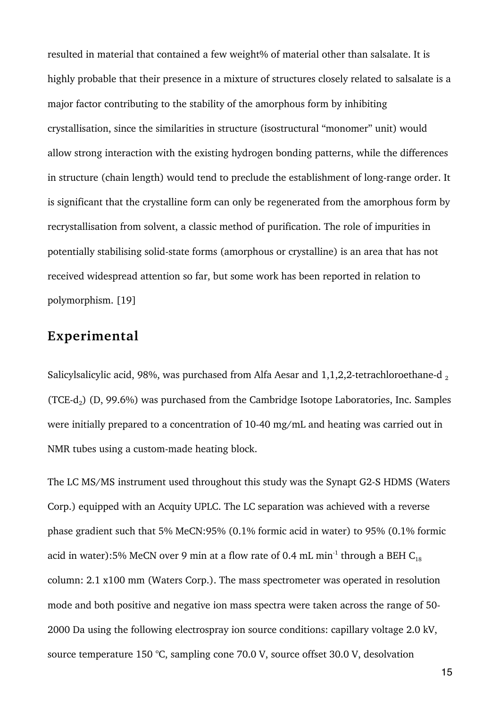resulted in material that contained a few weight% of material other than salsalate. It is highly probable that their presence in a mixture of structures closely related to salsalate is a major factor contributing to the stability of the amorphous form by inhibiting crystallisation, since the similarities in structure (isostructural "monomer" unit) would allow strong interaction with the existing hydrogen bonding patterns, while the differences in structure (chain length) would tend to preclude the establishment of long-range order. It is significant that the crystalline form can only be regenerated from the amorphous form by recrystallisation from solvent, a classic method of purification. The role of impurities in potentially stabilising solid-state forms (amorphous or crystalline) is an area that has not received widespread attention so far, but some work has been reported in relation to polymorphism. [19]

#### **Experimental**

Salicylsalicylic acid, 98%, was purchased from Alfa Aesar and  $1,1,2,2$ -tetrachloroethane-d, (TCE- $d_2$ ) (D, 99.6%) was purchased from the Cambridge Isotope Laboratories, Inc. Samples were initially prepared to a concentration of 10-40 mg/mL and heating was carried out in NMR tubes using a custom-made heating block.

The LC MS/MS instrument used throughout this study was the Synapt G2-S HDMS (Waters Corp.) equipped with an Acquity UPLC. The LC separation was achieved with a reverse phase gradient such that 5% MeCN:95% (0.1% formic acid in water) to 95% (0.1% formic acid in water):5% MeCN over 9 min at a flow rate of 0.4 mL min<sup>-1</sup> through a BEH  $C_{18}$ column: 2.1 x100 mm (Waters Corp.). The mass spectrometer was operated in resolution mode and both positive and negative ion mass spectra were taken across the range of 50- 2000 Da using the following electrospray ion source conditions: capillary voltage 2.0 kV, source temperature 150 °C, sampling cone 70.0 V, source offset 30.0 V, desolvation

15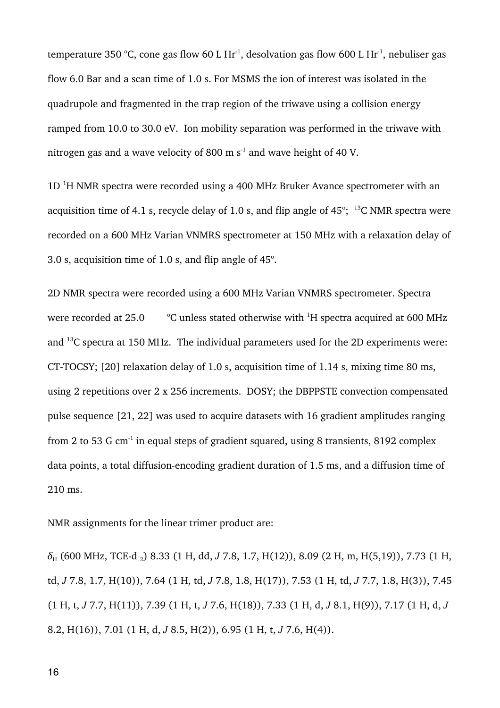temperature 350 °C, cone gas flow 60 L Hr<sup>-1</sup>, desolvation gas flow 600 L Hr<sup>-1</sup>, nebuliser gas flow 6.0 Bar and a scan time of 1.0 s. For MSMS the ion of interest was isolated in the quadrupole and fragmented in the trap region of the triwave using a collision energy ramped from 10.0 to 30.0 eV. Ion mobility separation was performed in the triwave with nitrogen gas and a wave velocity of 800 m  $s<sup>-1</sup>$  and wave height of 40 V.

 $1D<sup>1</sup>H NMR$  spectra were recorded using a 400 MHz Bruker Avance spectrometer with an acquisition time of 4.1 s, recycle delay of 1.0 s, and flip angle of  $45^{\circ}$ ; <sup>13</sup>C NMR spectra were recorded on a 600 MHz Varian VNMRS spectrometer at 150 MHz with a relaxation delay of 3.0 s, acquisition time of 1.0 s, and flip angle of  $45^\circ$ .

2D NMR spectra were recorded using a 600 MHz Varian VNMRS spectrometer. Spectra were recorded at 25.0 C unless stated otherwise with  ${}^{1}$ H spectra acquired at 600 MHz and 13C spectra at 150 MHz. The individual parameters used for the 2D experiments were: CT-TOCSY; [20] relaxation delay of 1.0 s, acquisition time of 1.14 s, mixing time 80 ms, using 2 repetitions over 2 x 256 increments. DOSY; the DBPPSTE convection compensated pulse sequence [21, 22] was used to acquire datasets with 16 gradient amplitudes ranging from 2 to 53 G cm<sup>-1</sup> in equal steps of gradient squared, using 8 transients, 8192 complex data points, a total diffusion-encoding gradient duration of 1.5 ms, and a diffusion time of 210 ms.

NMR assignments for the linear trimer product are:

*δ*<sup>H</sup> (600 MHz, TCE-d 2) 8.33 (1 H, dd, *J* 7.8, 1.7, H(12)), 8.09 (2 H, m, H(5,19)), 7.73 (1 H, td, *J* 7.8, 1.7, H(10)), 7.64 (1 H, td, *J* 7.8, 1.8, H(17)), 7.53 (1 H, td, *J* 7.7, 1.8, H(3)), 7.45 (1 H, t, *J* 7.7, H(11)), 7.39 (1 H, t, *J* 7.6, H(18)), 7.33 (1 H, d, *J* 8.1, H(9)), 7.17 (1 H, d, *J* 8.2, H(16)), 7.01 (1 H, d, *J* 8.5, H(2)), 6.95 (1 H, t, *J* 7.6, H(4)).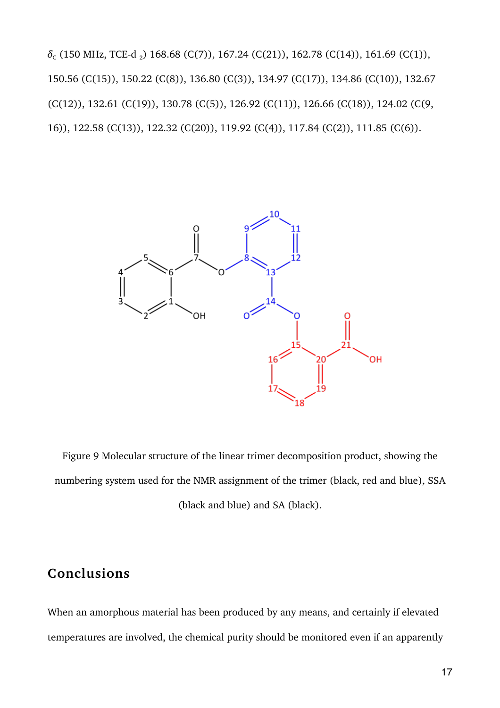$\delta_c$  (150 MHz, TCE-d<sub>2</sub>) 168.68 (C(7)), 167.24 (C(21)), 162.78 (C(14)), 161.69 (C(1)), 150.56 (C(15)), 150.22 (C(8)), 136.80 (C(3)), 134.97 (C(17)), 134.86 (C(10)), 132.67 (C(12)), 132.61 (C(19)), 130.78 (C(5)), 126.92 (C(11)), 126.66 (C(18)), 124.02 (C(9, 16)), 122.58 (C(13)), 122.32 (C(20)), 119.92 (C(4)), 117.84 (C(2)), 111.85 (C(6)).



Figure 9 Molecular structure of the linear trimer decomposition product, showing the numbering system used for the NMR assignment of the trimer (black, red and blue), SSA (black and blue) and SA (black).

### **Conclusions**

When an amorphous material has been produced by any means, and certainly if elevated temperatures are involved, the chemical purity should be monitored even if an apparently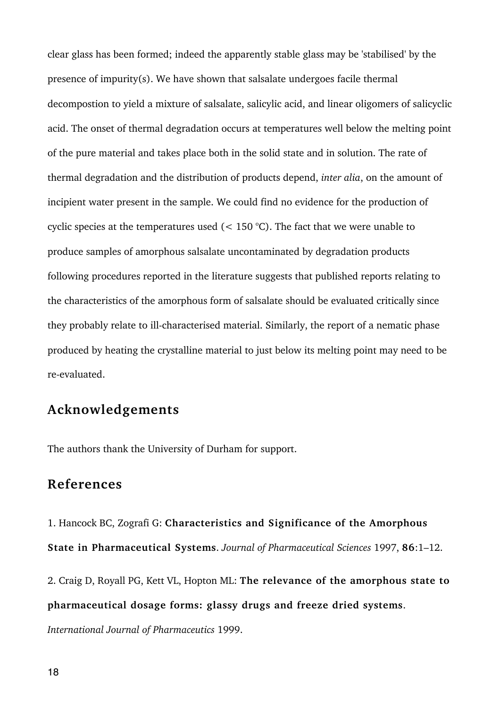clear glass has been formed; indeed the apparently stable glass may be 'stabilised' by the presence of impurity(s). We have shown that salsalate undergoes facile thermal decompostion to yield a mixture of salsalate, salicylic acid, and linear oligomers of salicyclic acid. The onset of thermal degradation occurs at temperatures well below the melting point of the pure material and takes place both in the solid state and in solution. The rate of thermal degradation and the distribution of products depend, *inter alia*, on the amount of incipient water present in the sample. We could find no evidence for the production of cyclic species at the temperatures used  $(< 150 °C)$ . The fact that we were unable to produce samples of amorphous salsalate uncontaminated by degradation products following procedures reported in the literature suggests that published reports relating to the characteristics of the amorphous form of salsalate should be evaluated critically since they probably relate to ill-characterised material. Similarly, the report of a nematic phase produced by heating the crystalline material to just below its melting point may need to be re-evaluated.

#### **Acknowledgements**

The authors thank the University of Durham for support.

#### **References**

1. Hancock BC, Zografi G: **Characteristics and Significance of the Amorphous State in Pharmaceutical Systems**. *Journal of Pharmaceutical Sciences* 1997, **86**:1–12.

2. Craig D, Royall PG, Kett VL, Hopton ML: **The relevance of the amorphous state to pharmaceutical dosage forms: glassy drugs and freeze dried systems**.

*International Journal of Pharmaceutics* 1999.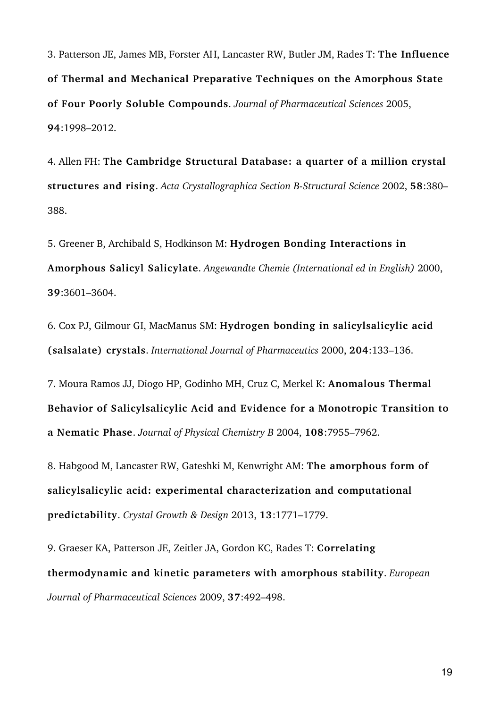3. Patterson JE, James MB, Forster AH, Lancaster RW, Butler JM, Rades T: **The Influence of Thermal and Mechanical Preparative Techniques on the Amorphous State of Four Poorly Soluble Compounds**. *Journal of Pharmaceutical Sciences* 2005, **94**:1998–2012.

4. Allen FH: **The Cambridge Structural Database: a quarter of a million crystal structures and rising**. *Acta Crystallographica Section B-Structural Science* 2002, **58**:380– 388.

5. Greener B, Archibald S, Hodkinson M: **Hydrogen Bonding Interactions in Amorphous Salicyl Salicylate**. *Angewandte Chemie (International ed in English)* 2000, **39**:3601–3604.

6. Cox PJ, Gilmour GI, MacManus SM: **Hydrogen bonding in salicylsalicylic acid (salsalate) crystals**. *International Journal of Pharmaceutics* 2000, **204**:133–136.

7. Moura Ramos JJ, Diogo HP, Godinho MH, Cruz C, Merkel K: **Anomalous Thermal Behavior of Salicylsalicylic Acid and Evidence for a Monotropic Transition to a Nematic Phase**. *Journal of Physical Chemistry B* 2004, **108**:7955–7962.

8. Habgood M, Lancaster RW, Gateshki M, Kenwright AM: **The amorphous form of salicylsalicylic acid: experimental characterization and computational predictability**. *Crystal Growth & Design* 2013, **13**:1771–1779.

9. Graeser KA, Patterson JE, Zeitler JA, Gordon KC, Rades T: **Correlating thermodynamic and kinetic parameters with amorphous stability**. *European Journal of Pharmaceutical Sciences* 2009, **37**:492–498.

19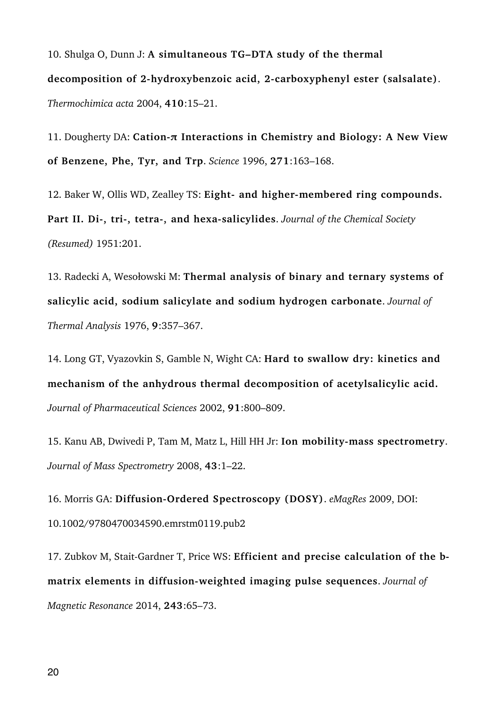10. Shulga O, Dunn J: **A simultaneous TG–DTA study of the thermal decomposition of 2-hydroxybenzoic acid, 2-carboxyphenyl ester (salsalate)**. *Thermochimica acta* 2004, **410**:15–21.

11. Dougherty DA: **Cation-π Interactions in Chemistry and Biology: A New View of Benzene, Phe, Tyr, and Trp**. *Science* 1996, **271**:163–168.

12. Baker W, Ollis WD, Zealley TS: **Eight- and higher-membered ring compounds. Part II. Di-, tri-, tetra-, and hexa-salicylides**. *Journal of the Chemical Society (Resumed)* 1951:201.

13. Radecki A, Wesołowski M: **Thermal analysis of binary and ternary systems of salicylic acid, sodium salicylate and sodium hydrogen carbonate**. *Journal of Thermal Analysis* 1976, **9**:357–367.

14. Long GT, Vyazovkin S, Gamble N, Wight CA: **Hard to swallow dry: kinetics and mechanism of the anhydrous thermal decomposition of acetylsalicylic acid.** *Journal of Pharmaceutical Sciences* 2002, **91**:800–809.

15. Kanu AB, Dwivedi P, Tam M, Matz L, Hill HH Jr: **Ion mobility-mass spectrometry**. *Journal of Mass Spectrometry* 2008, **43**:1–22.

16. Morris GA: **Diffusion-Ordered Spectroscopy (DOSY)**. *eMagRes* 2009, DOI: 10.1002/9780470034590.emrstm0119.pub2

17. Zubkov M, Stait-Gardner T, Price WS: **Efficient and precise calculation of the bmatrix elements in diffusion-weighted imaging pulse sequences**. *Journal of Magnetic Resonance* 2014, **243**:65–73.